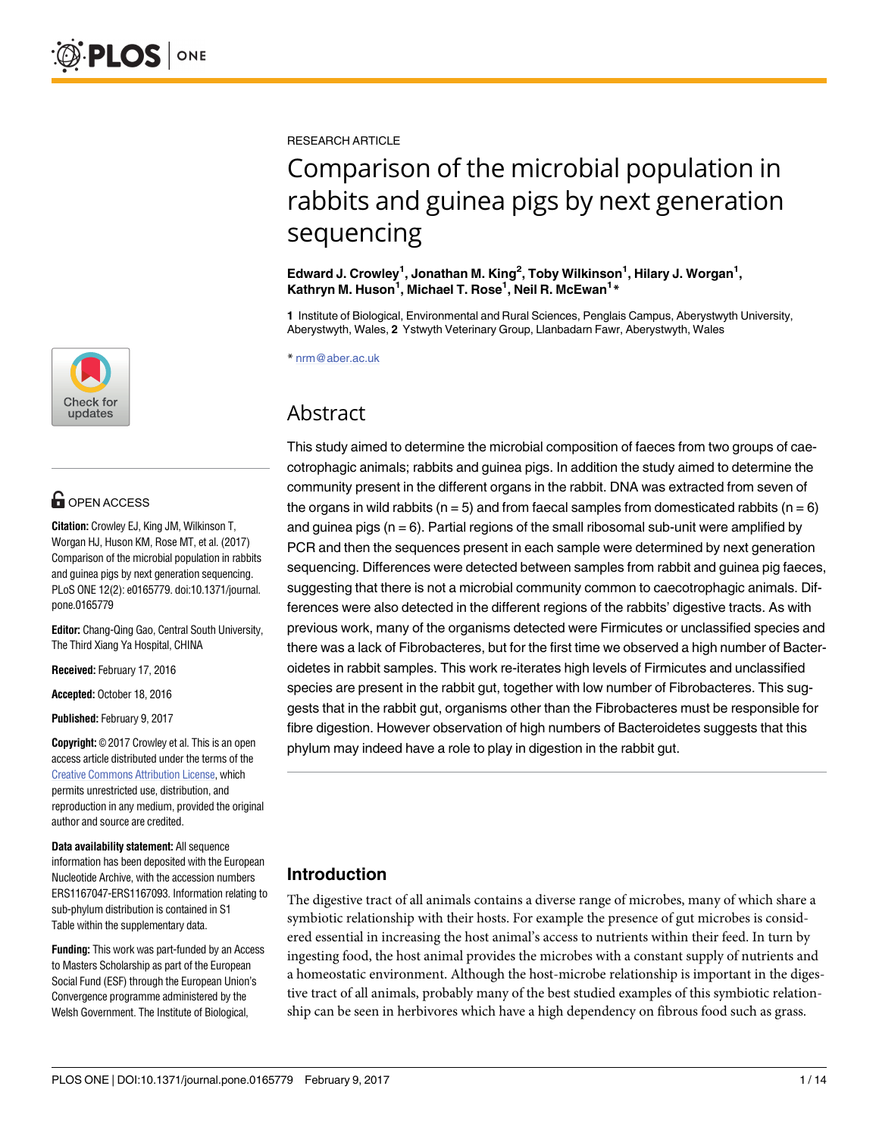

# **OPEN ACCESS**

**Citation:** Crowley EJ, King JM, Wilkinson T, Worgan HJ, Huson KM, Rose MT, et al. (2017) Comparison of the microbial population in rabbits and guinea pigs by next generation sequencing. PLoS ONE 12(2): e0165779. doi:10.1371/journal. pone.0165779

**Editor:** Chang-Qing Gao, Central South University, The Third Xiang Ya Hospital, CHINA

**Received:** February 17, 2016

**Accepted:** October 18, 2016

**Published:** February 9, 2017

**Copyright:** © 2017 Crowley et al. This is an open access article distributed under the terms of the Creative Commons [Attribution](http://creativecommons.org/licenses/by/4.0/) License, which permits unrestricted use, distribution, and reproduction in any medium, provided the original author and source are credited.

**Data availability statement:** All sequence information has been deposited with the European Nucleotide Archive, with the accession numbers ERS1167047-ERS1167093. Information relating to sub-phylum distribution is contained in S1 Table within the supplementary data.

**Funding:** This work was part-funded by an Access to Masters Scholarship as part of the European Social Fund (ESF) through the European Union's Convergence programme administered by the Welsh Government. The Institute of Biological,

RESEARCH ARTICLE

# Comparison of the microbial population in rabbits and guinea pigs by next generation sequencing

**Edward J. Crowley1 , Jonathan M. King2 , Toby Wilkinson1 , Hilary J. Worgan1 , Kathryn M. Huson1 , Michael T. Rose1 , Neil R. McEwan1 \***

**1** Institute of Biological, Environmental and Rural Sciences, Penglais Campus, Aberystwyth University, Aberystwyth, Wales, **2** Ystwyth Veterinary Group, Llanbadarn Fawr, Aberystwyth, Wales

\* nrm@aber.ac.uk

# Abstract

This study aimed to determine the microbial composition of faeces from two groups of caecotrophagic animals; rabbits and guinea pigs. In addition the study aimed to determine the community present in the different organs in the rabbit. DNA was extracted from seven of the organs in wild rabbits ( $n = 5$ ) and from faecal samples from domesticated rabbits ( $n = 6$ ) and guinea pigs ( $n = 6$ ). Partial regions of the small ribosomal sub-unit were amplified by PCR and then the sequences present in each sample were determined by next generation sequencing. Differences were detected between samples from rabbit and guinea pig faeces, suggesting that there is not a microbial community common to caecotrophagic animals. Differences were also detected in the different regions of the rabbits' digestive tracts. As with previous work, many of the organisms detected were Firmicutes or unclassified species and there was a lack of Fibrobacteres, but for the first time we observed a high number of Bacteroidetes in rabbit samples. This work re-iterates high levels of Firmicutes and unclassified species are present in the rabbit gut, together with low number of Fibrobacteres. This suggests that in the rabbit gut, organisms other than the Fibrobacteres must be responsible for fibre digestion. However observation of high numbers of Bacteroidetes suggests that this phylum may indeed have a role to play in digestion in the rabbit gut.

# **Introduction**

The digestive tract of all animals contains a diverse range of microbes, many of which share a symbiotic relationship with their hosts. For example the presence of gut microbes is considered essential in increasing the host animal's access to nutrients within their feed. In turn by ingesting food, the host animal provides the microbes with a constant supply of nutrients and a homeostatic environment. Although the host-microbe relationship is important in the digestive tract of all animals, probably many of the best studied examples of this symbiotic relationship can be seen in herbivores which have a high dependency on fibrous food such as grass.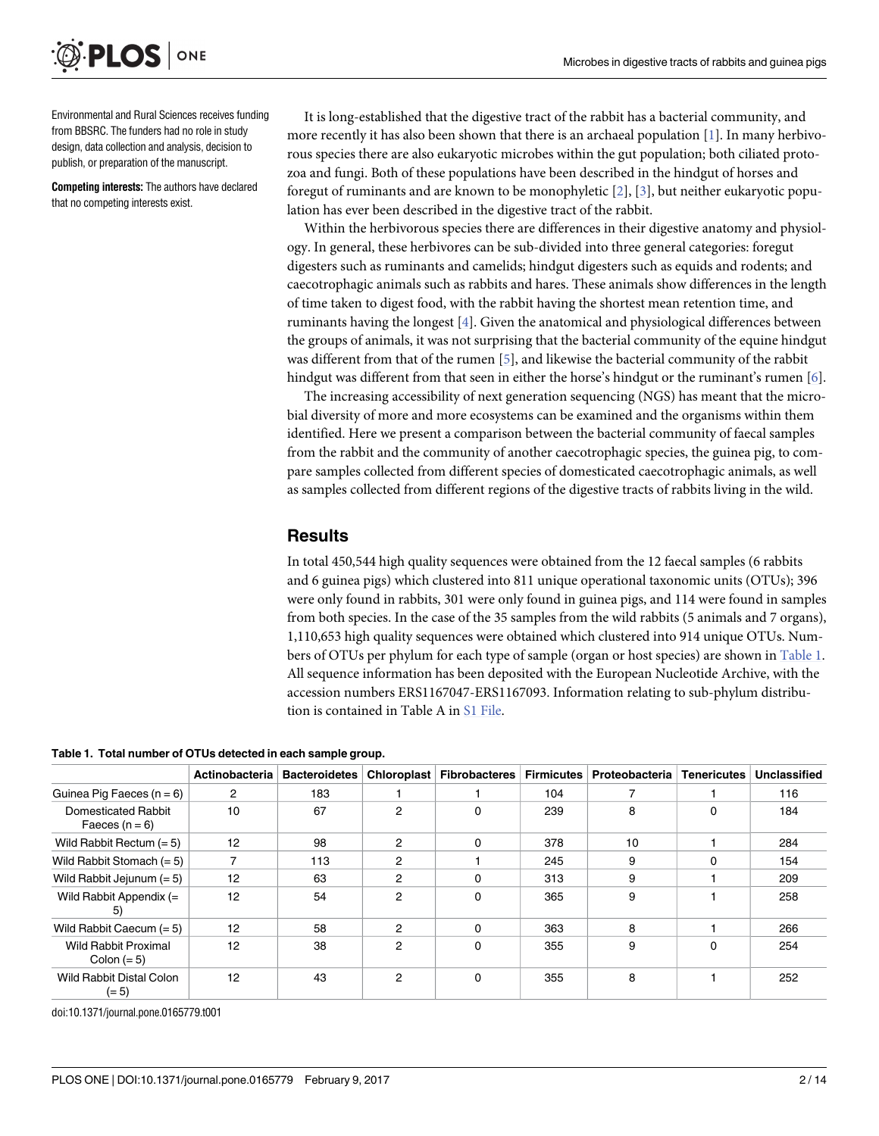<span id="page-1-0"></span>

Environmental and Rural Sciences receives funding from BBSRC. The funders had no role in study design, data collection and analysis, decision to publish, or preparation of the manuscript.

**Competing interests:** The authors have declared that no competing interests exist.

It is long-established that the digestive tract of the rabbit has a bacterial community, and more recently it has also been shown that there is an archaeal population [\[1](#page-12-0)]. In many herbivorous species there are also eukaryotic microbes within the gut population; both ciliated protozoa and fungi. Both of these populations have been described in the hindgut of horses and foregut of ruminants and are known to be monophyletic [[2](#page-12-0)], [[3](#page-12-0)], but neither eukaryotic population has ever been described in the digestive tract of the rabbit.

Within the herbivorous species there are differences in their digestive anatomy and physiology. In general, these herbivores can be sub-divided into three general categories: foregut digesters such as ruminants and camelids; hindgut digesters such as equids and rodents; and caecotrophagic animals such as rabbits and hares. These animals show differences in the length of time taken to digest food, with the rabbit having the shortest mean retention time, and ruminants having the longest [[4\]](#page-12-0). Given the anatomical and physiological differences between the groups of animals, it was not surprising that the bacterial community of the equine hindgut was different from that of the rumen [[5\]](#page-12-0), and likewise the bacterial community of the rabbit hindgut was different from that seen in either the horse's hindgut or the ruminant's rumen [\[6](#page-12-0)].

The increasing accessibility of next generation sequencing (NGS) has meant that the microbial diversity of more and more ecosystems can be examined and the organisms within them identified. Here we present a comparison between the bacterial community of faecal samples from the rabbit and the community of another caecotrophagic species, the guinea pig, to compare samples collected from different species of domesticated caecotrophagic animals, as well as samples collected from different regions of the digestive tracts of rabbits living in the wild.

#### **Results**

In total 450,544 high quality sequences were obtained from the 12 faecal samples (6 rabbits and 6 guinea pigs) which clustered into 811 unique operational taxonomic units (OTUs); 396 were only found in rabbits, 301 were only found in guinea pigs, and 114 were found in samples from both species. In the case of the 35 samples from the wild rabbits (5 animals and 7 organs), 1,110,653 high quality sequences were obtained which clustered into 914 unique OTUs. Numbers of OTUs per phylum for each type of sample (organ or host species) are shown in Table 1. All sequence information has been deposited with the European Nucleotide Archive, with the accession numbers ERS1167047-ERS1167093. Information relating to sub-phylum distribution is contained in Table A in S1 [File](#page-11-0).

**Table 1. Total number of OTUs detected in each sample group.**

|                                              | Actinobacteria | <b>Bacteroidetes</b> | <b>Chloroplast</b> | <b>Fibrobacteres</b> | <b>Firmicutes</b> | Proteobacteria | <b>Tenericutes</b> | Unclassified |
|----------------------------------------------|----------------|----------------------|--------------------|----------------------|-------------------|----------------|--------------------|--------------|
| Guinea Pig Faeces $(n = 6)$                  | $\overline{2}$ | 183                  |                    |                      | 104               |                |                    | 116          |
| Domesticated Rabbit<br>Faeces $(n = 6)$      | 10             | 67                   | 2                  | 0                    | 239               | 8              | 0                  | 184          |
| Wild Rabbit Rectum $(= 5)$                   | 12             | 98                   | 2                  | 0                    | 378               | 10             |                    | 284          |
| Wild Rabbit Stomach $(= 5)$                  |                | 113                  | 2                  |                      | 245               | 9              | $\Omega$           | 154          |
| Wild Rabbit Jejunum $(= 5)$                  | 12             | 63                   | 2                  | 0                    | 313               | 9              |                    | 209          |
| Wild Rabbit Appendix $(=$<br>5)              | 12             | 54                   | 2                  | 0                    | 365               | 9              |                    | 258          |
| Wild Rabbit Caecum $(= 5)$                   | 12             | 58                   | 2                  | 0                    | 363               | 8              |                    | 266          |
| <b>Wild Rabbit Proximal</b><br>Colon $(= 5)$ | 12             | 38                   | 2                  | 0                    | 355               | 9              | 0                  | 254          |
| Wild Rabbit Distal Colon<br>$(= 5)$          | 12             | 43                   | 2                  | 0                    | 355               | 8              |                    | 252          |

doi:10.1371/journal.pone.0165779.t001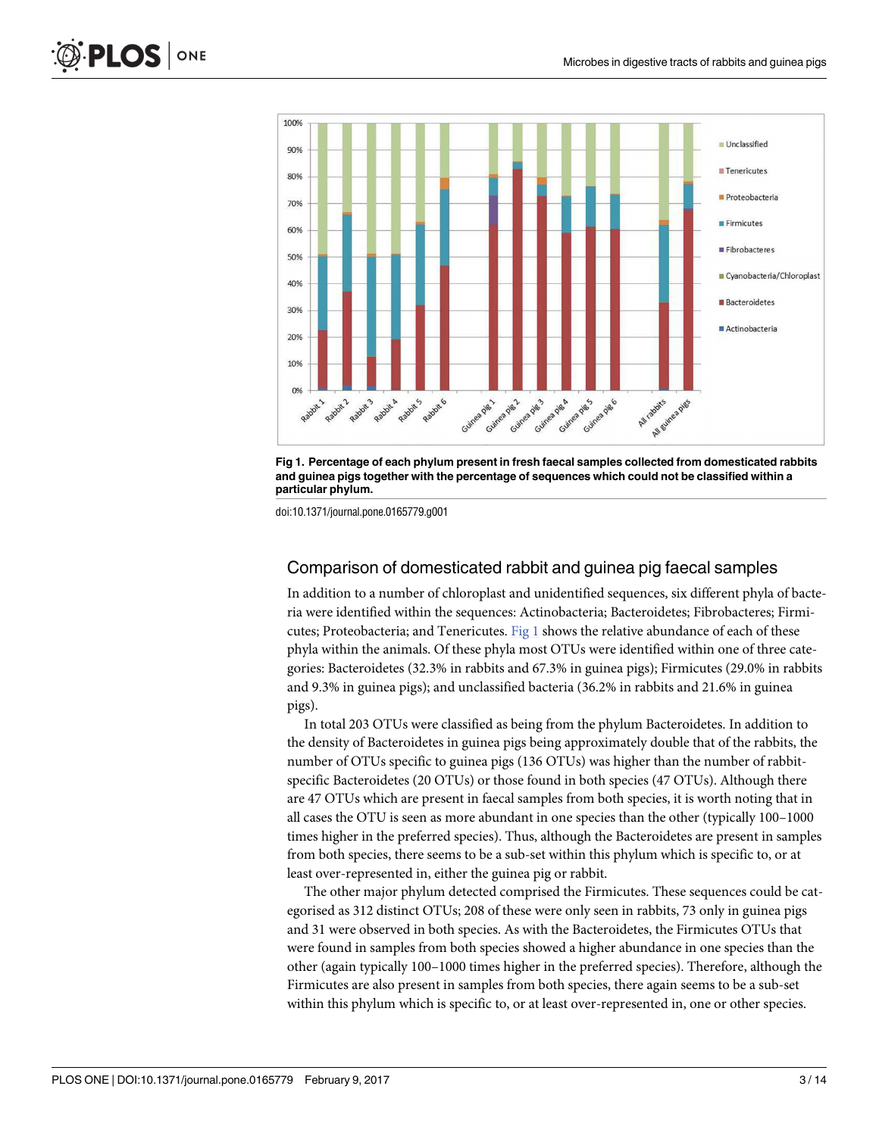



doi:10.1371/journal.pone.0165779.g001

#### Comparison of domesticated rabbit and guinea pig faecal samples

In addition to a number of chloroplast and unidentified sequences, six different phyla of bacteria were identified within the sequences: Actinobacteria; Bacteroidetes; Fibrobacteres; Firmicutes; Proteobacteria; and Tenericutes. Fig 1 shows the relative abundance of each of these phyla within the animals. Of these phyla most OTUs were identified within one of three categories: Bacteroidetes (32.3% in rabbits and 67.3% in guinea pigs); Firmicutes (29.0% in rabbits and 9.3% in guinea pigs); and unclassified bacteria (36.2% in rabbits and 21.6% in guinea pigs).

In total 203 OTUs were classified as being from the phylum Bacteroidetes. In addition to the density of Bacteroidetes in guinea pigs being approximately double that of the rabbits, the number of OTUs specific to guinea pigs (136 OTUs) was higher than the number of rabbitspecific Bacteroidetes (20 OTUs) or those found in both species (47 OTUs). Although there are 47 OTUs which are present in faecal samples from both species, it is worth noting that in all cases the OTU is seen as more abundant in one species than the other (typically 100–1000 times higher in the preferred species). Thus, although the Bacteroidetes are present in samples from both species, there seems to be a sub-set within this phylum which is specific to, or at least over-represented in, either the guinea pig or rabbit.

The other major phylum detected comprised the Firmicutes. These sequences could be categorised as 312 distinct OTUs; 208 of these were only seen in rabbits, 73 only in guinea pigs and 31 were observed in both species. As with the Bacteroidetes, the Firmicutes OTUs that were found in samples from both species showed a higher abundance in one species than the other (again typically 100–1000 times higher in the preferred species). Therefore, although the Firmicutes are also present in samples from both species, there again seems to be a sub-set within this phylum which is specific to, or at least over-represented in, one or other species.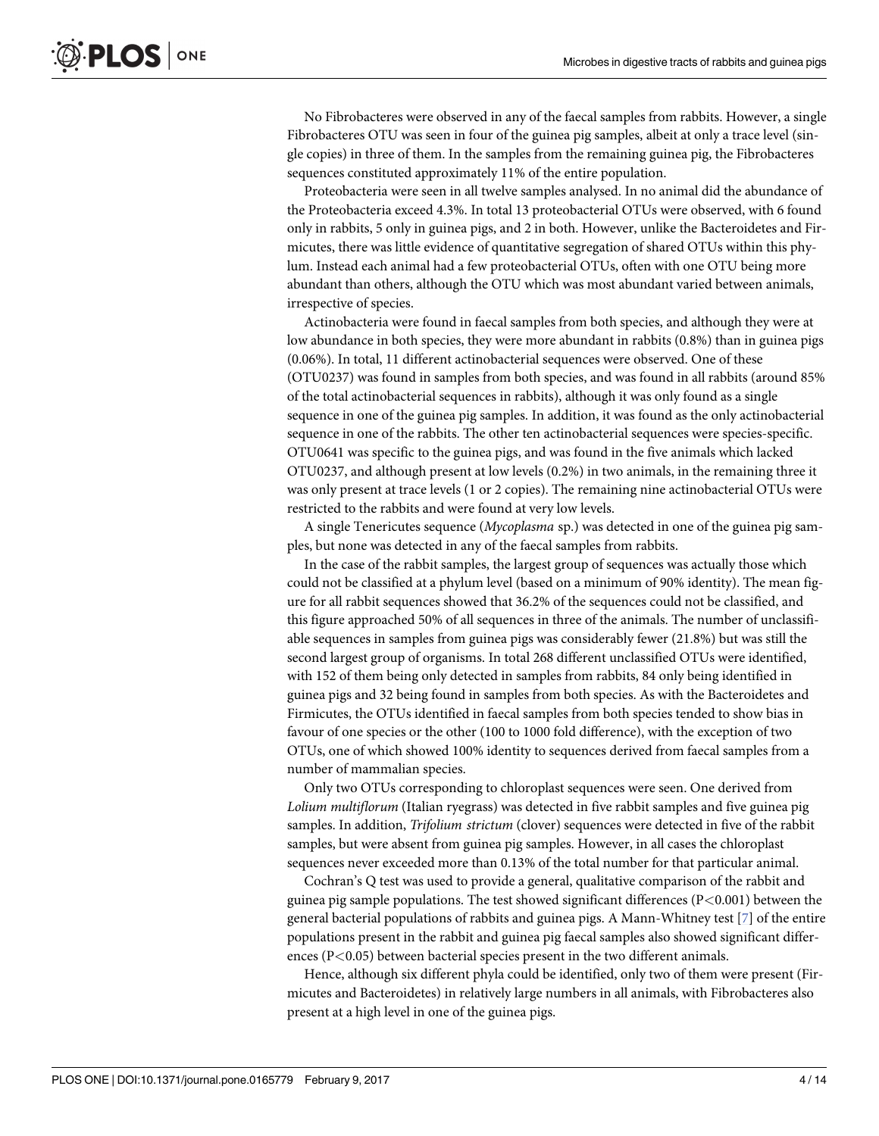<span id="page-3-0"></span>No Fibrobacteres were observed in any of the faecal samples from rabbits. However, a single Fibrobacteres OTU was seen in four of the guinea pig samples, albeit at only a trace level (single copies) in three of them. In the samples from the remaining guinea pig, the Fibrobacteres sequences constituted approximately 11% of the entire population.

Proteobacteria were seen in all twelve samples analysed. In no animal did the abundance of the Proteobacteria exceed 4.3%. In total 13 proteobacterial OTUs were observed, with 6 found only in rabbits, 5 only in guinea pigs, and 2 in both. However, unlike the Bacteroidetes and Firmicutes, there was little evidence of quantitative segregation of shared OTUs within this phylum. Instead each animal had a few proteobacterial OTUs, often with one OTU being more abundant than others, although the OTU which was most abundant varied between animals, irrespective of species.

Actinobacteria were found in faecal samples from both species, and although they were at low abundance in both species, they were more abundant in rabbits (0.8%) than in guinea pigs (0.06%). In total, 11 different actinobacterial sequences were observed. One of these (OTU0237) was found in samples from both species, and was found in all rabbits (around 85% of the total actinobacterial sequences in rabbits), although it was only found as a single sequence in one of the guinea pig samples. In addition, it was found as the only actinobacterial sequence in one of the rabbits. The other ten actinobacterial sequences were species-specific. OTU0641 was specific to the guinea pigs, and was found in the five animals which lacked OTU0237, and although present at low levels (0.2%) in two animals, in the remaining three it was only present at trace levels (1 or 2 copies). The remaining nine actinobacterial OTUs were restricted to the rabbits and were found at very low levels.

A single Tenericutes sequence (*Mycoplasma* sp.) was detected in one of the guinea pig samples, but none was detected in any of the faecal samples from rabbits.

In the case of the rabbit samples, the largest group of sequences was actually those which could not be classified at a phylum level (based on a minimum of 90% identity). The mean figure for all rabbit sequences showed that 36.2% of the sequences could not be classified, and this figure approached 50% of all sequences in three of the animals. The number of unclassifiable sequences in samples from guinea pigs was considerably fewer (21.8%) but was still the second largest group of organisms. In total 268 different unclassified OTUs were identified, with 152 of them being only detected in samples from rabbits, 84 only being identified in guinea pigs and 32 being found in samples from both species. As with the Bacteroidetes and Firmicutes, the OTUs identified in faecal samples from both species tended to show bias in favour of one species or the other (100 to 1000 fold difference), with the exception of two OTUs, one of which showed 100% identity to sequences derived from faecal samples from a number of mammalian species.

Only two OTUs corresponding to chloroplast sequences were seen. One derived from *Lolium multiflorum* (Italian ryegrass) was detected in five rabbit samples and five guinea pig samples. In addition, *Trifolium strictum* (clover) sequences were detected in five of the rabbit samples, but were absent from guinea pig samples. However, in all cases the chloroplast sequences never exceeded more than 0.13% of the total number for that particular animal.

Cochran's Q test was used to provide a general, qualitative comparison of the rabbit and guinea pig sample populations. The test showed significant differences (P*<*0.001) between the general bacterial populations of rabbits and guinea pigs. A Mann-Whitney test [[7\]](#page-12-0) of the entire populations present in the rabbit and guinea pig faecal samples also showed significant differences (P*<*0.05) between bacterial species present in the two different animals.

Hence, although six different phyla could be identified, only two of them were present (Firmicutes and Bacteroidetes) in relatively large numbers in all animals, with Fibrobacteres also present at a high level in one of the guinea pigs.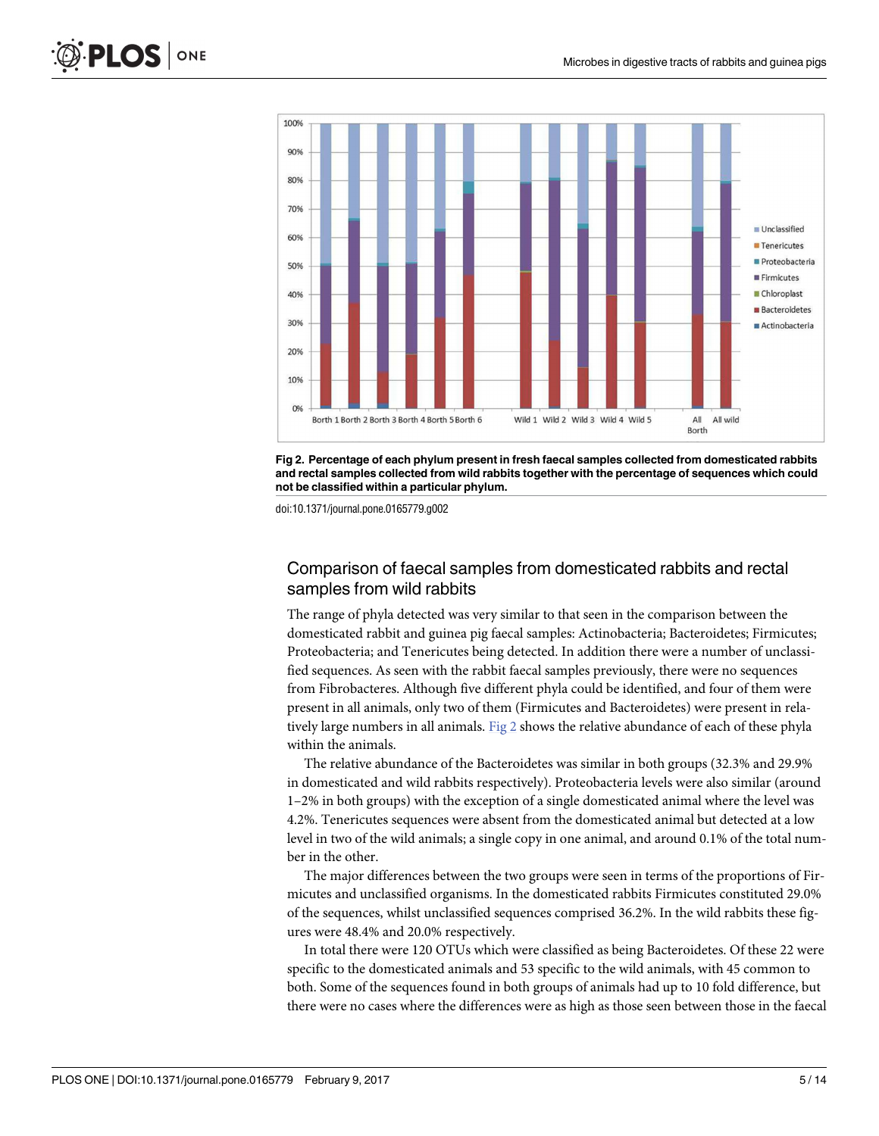



doi:10.1371/journal.pone.0165779.g002

#### Comparison of faecal samples from domesticated rabbits and rectal samples from wild rabbits

The range of phyla detected was very similar to that seen in the comparison between the domesticated rabbit and guinea pig faecal samples: Actinobacteria; Bacteroidetes; Firmicutes; Proteobacteria; and Tenericutes being detected. In addition there were a number of unclassified sequences. As seen with the rabbit faecal samples previously, there were no sequences from Fibrobacteres. Although five different phyla could be identified, and four of them were present in all animals, only two of them (Firmicutes and Bacteroidetes) were present in relatively large numbers in all animals. Fig  $2$  shows the relative abundance of each of these phyla within the animals.

The relative abundance of the Bacteroidetes was similar in both groups (32.3% and 29.9% in domesticated and wild rabbits respectively). Proteobacteria levels were also similar (around 1–2% in both groups) with the exception of a single domesticated animal where the level was 4.2%. Tenericutes sequences were absent from the domesticated animal but detected at a low level in two of the wild animals; a single copy in one animal, and around 0.1% of the total number in the other.

The major differences between the two groups were seen in terms of the proportions of Firmicutes and unclassified organisms. In the domesticated rabbits Firmicutes constituted 29.0% of the sequences, whilst unclassified sequences comprised 36.2%. In the wild rabbits these figures were 48.4% and 20.0% respectively.

In total there were 120 OTUs which were classified as being Bacteroidetes. Of these 22 were specific to the domesticated animals and 53 specific to the wild animals, with 45 common to both. Some of the sequences found in both groups of animals had up to 10 fold difference, but there were no cases where the differences were as high as those seen between those in the faecal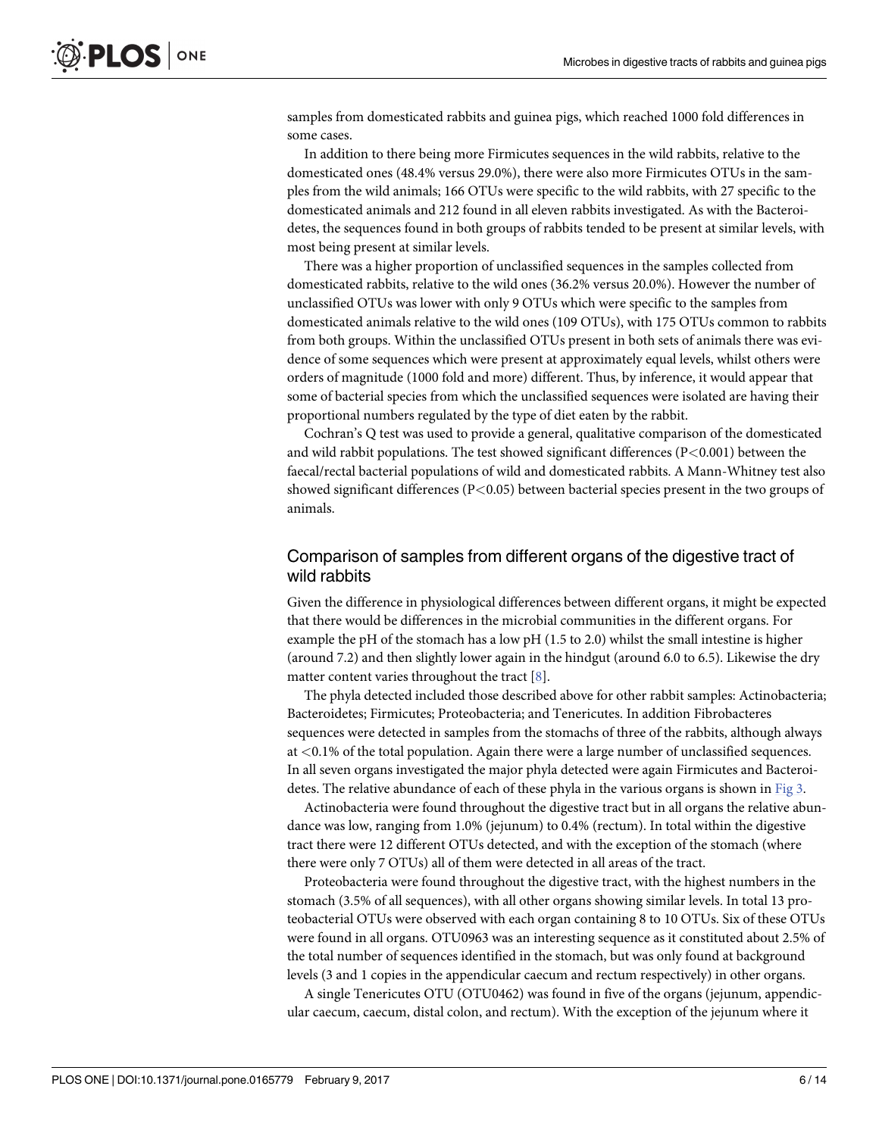<span id="page-5-0"></span>samples from domesticated rabbits and guinea pigs, which reached 1000 fold differences in some cases.

In addition to there being more Firmicutes sequences in the wild rabbits, relative to the domesticated ones (48.4% versus 29.0%), there were also more Firmicutes OTUs in the samples from the wild animals; 166 OTUs were specific to the wild rabbits, with 27 specific to the domesticated animals and 212 found in all eleven rabbits investigated. As with the Bacteroidetes, the sequences found in both groups of rabbits tended to be present at similar levels, with most being present at similar levels.

There was a higher proportion of unclassified sequences in the samples collected from domesticated rabbits, relative to the wild ones (36.2% versus 20.0%). However the number of unclassified OTUs was lower with only 9 OTUs which were specific to the samples from domesticated animals relative to the wild ones (109 OTUs), with 175 OTUs common to rabbits from both groups. Within the unclassified OTUs present in both sets of animals there was evidence of some sequences which were present at approximately equal levels, whilst others were orders of magnitude (1000 fold and more) different. Thus, by inference, it would appear that some of bacterial species from which the unclassified sequences were isolated are having their proportional numbers regulated by the type of diet eaten by the rabbit.

Cochran's Q test was used to provide a general, qualitative comparison of the domesticated and wild rabbit populations. The test showed significant differences (P*<*0.001) between the faecal/rectal bacterial populations of wild and domesticated rabbits. A Mann-Whitney test also showed significant differences (P*<*0.05) between bacterial species present in the two groups of animals.

#### Comparison of samples from different organs of the digestive tract of wild rabbits

Given the difference in physiological differences between different organs, it might be expected that there would be differences in the microbial communities in the different organs. For example the pH of the stomach has a low pH (1.5 to 2.0) whilst the small intestine is higher (around 7.2) and then slightly lower again in the hindgut (around 6.0 to 6.5). Likewise the dry matter content varies throughout the tract [\[8\]](#page-12-0).

The phyla detected included those described above for other rabbit samples: Actinobacteria; Bacteroidetes; Firmicutes; Proteobacteria; and Tenericutes. In addition Fibrobacteres sequences were detected in samples from the stomachs of three of the rabbits, although always at *<*0.1% of the total population. Again there were a large number of unclassified sequences. In all seven organs investigated the major phyla detected were again Firmicutes and Bacteroidetes. The relative abundance of each of these phyla in the various organs is shown in [Fig](#page-6-0) 3.

Actinobacteria were found throughout the digestive tract but in all organs the relative abundance was low, ranging from 1.0% (jejunum) to 0.4% (rectum). In total within the digestive tract there were 12 different OTUs detected, and with the exception of the stomach (where there were only 7 OTUs) all of them were detected in all areas of the tract.

Proteobacteria were found throughout the digestive tract, with the highest numbers in the stomach (3.5% of all sequences), with all other organs showing similar levels. In total 13 proteobacterial OTUs were observed with each organ containing 8 to 10 OTUs. Six of these OTUs were found in all organs. OTU0963 was an interesting sequence as it constituted about 2.5% of the total number of sequences identified in the stomach, but was only found at background levels (3 and 1 copies in the appendicular caecum and rectum respectively) in other organs.

A single Tenericutes OTU (OTU0462) was found in five of the organs (jejunum, appendicular caecum, caecum, distal colon, and rectum). With the exception of the jejunum where it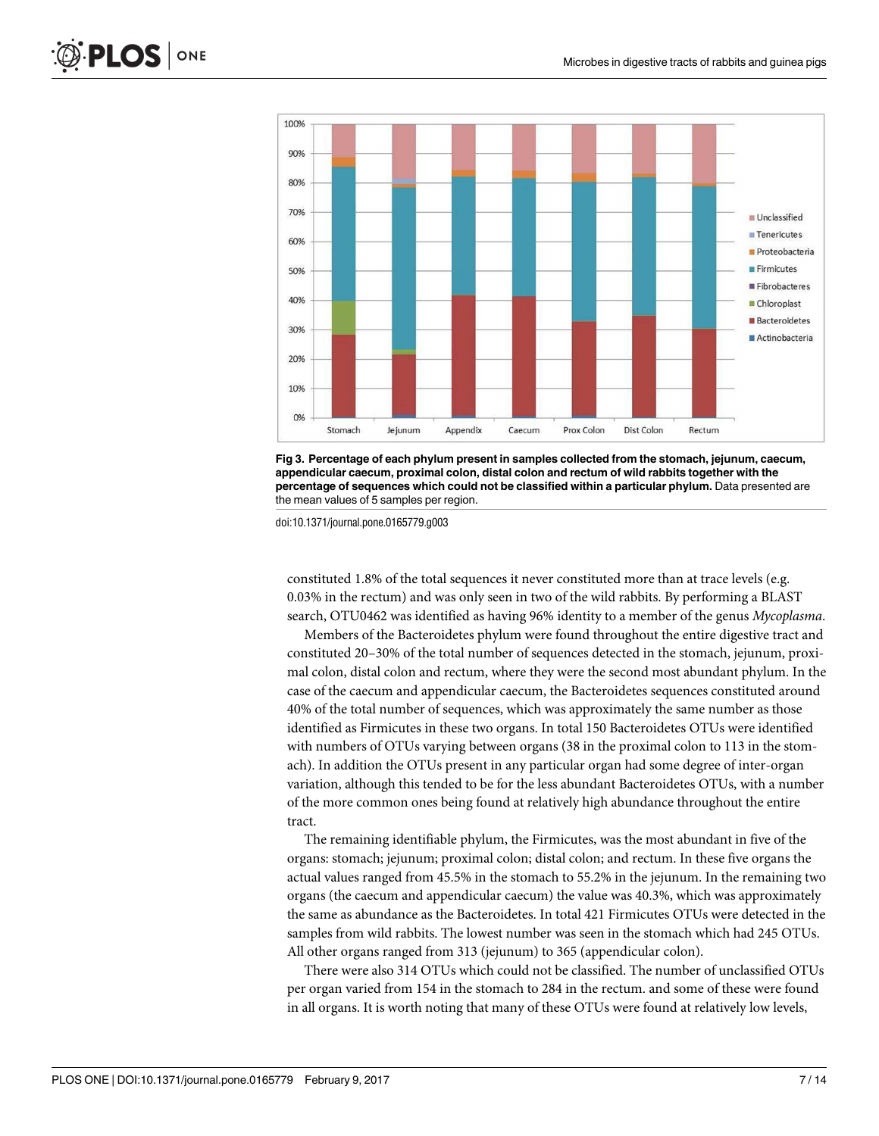<span id="page-6-0"></span>



doi:10.1371/journal.pone.0165779.g003

constituted 1.8% of the total sequences it never constituted more than at trace levels (e.g. 0.03% in the rectum) and was only seen in two of the wild rabbits. By performing a BLAST search, OTU0462 was identified as having 96% identity to a member of the genus *Mycoplasma*.

Members of the Bacteroidetes phylum were found throughout the entire digestive tract and constituted 20–30% of the total number of sequences detected in the stomach, jejunum, proximal colon, distal colon and rectum, where they were the second most abundant phylum. In the case of the caecum and appendicular caecum, the Bacteroidetes sequences constituted around 40% of the total number of sequences, which was approximately the same number as those identified as Firmicutes in these two organs. In total 150 Bacteroidetes OTUs were identified with numbers of OTUs varying between organs (38 in the proximal colon to 113 in the stomach). In addition the OTUs present in any particular organ had some degree of inter-organ variation, although this tended to be for the less abundant Bacteroidetes OTUs, with a number of the more common ones being found at relatively high abundance throughout the entire tract.

The remaining identifiable phylum, the Firmicutes, was the most abundant in five of the organs: stomach; jejunum; proximal colon; distal colon; and rectum. In these five organs the actual values ranged from 45.5% in the stomach to 55.2% in the jejunum. In the remaining two organs (the caecum and appendicular caecum) the value was 40.3%, which was approximately the same as abundance as the Bacteroidetes. In total 421 Firmicutes OTUs were detected in the samples from wild rabbits. The lowest number was seen in the stomach which had 245 OTUs. All other organs ranged from 313 (jejunum) to 365 (appendicular colon).

There were also 314 OTUs which could not be classified. The number of unclassified OTUs per organ varied from 154 in the stomach to 284 in the rectum. and some of these were found in all organs. It is worth noting that many of these OTUs were found at relatively low levels,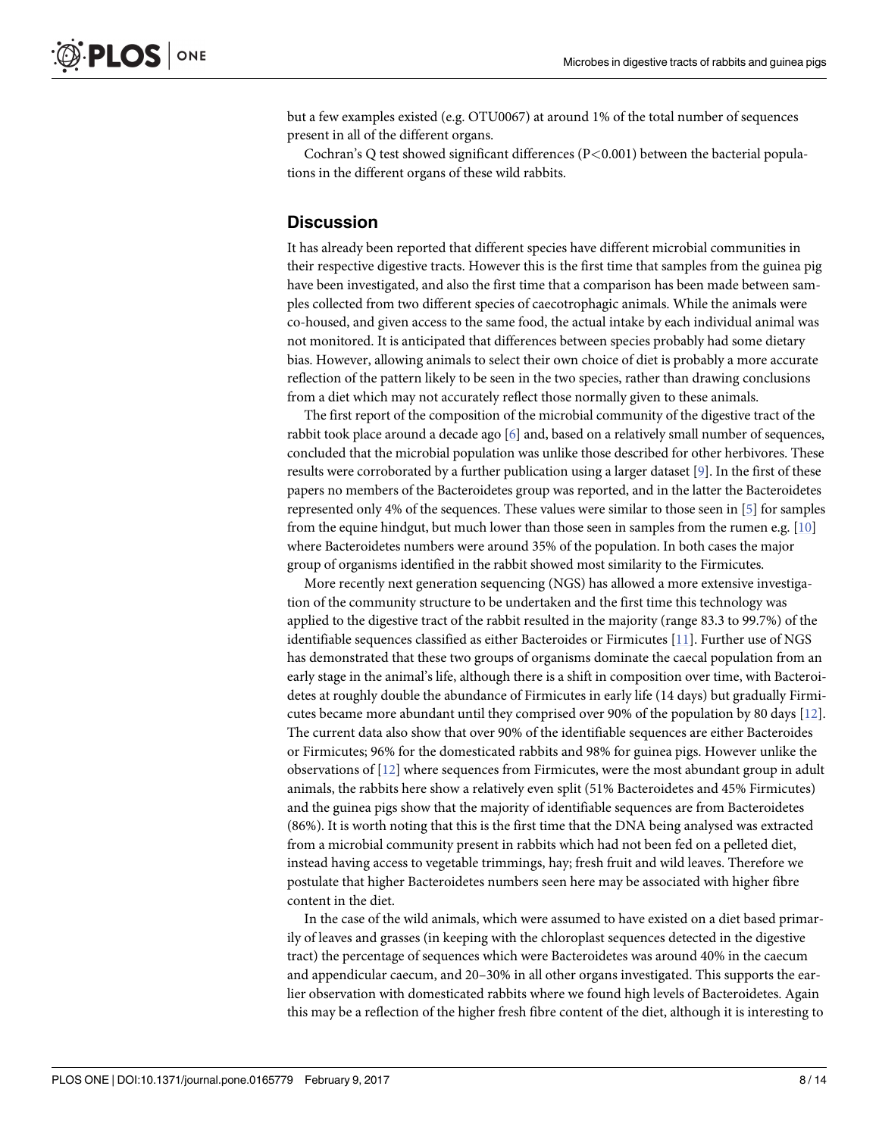<span id="page-7-0"></span>but a few examples existed (e.g. OTU0067) at around 1% of the total number of sequences present in all of the different organs.

Cochran's Q test showed significant differences (P*<*0.001) between the bacterial populations in the different organs of these wild rabbits.

#### **Discussion**

It has already been reported that different species have different microbial communities in their respective digestive tracts. However this is the first time that samples from the guinea pig have been investigated, and also the first time that a comparison has been made between samples collected from two different species of caecotrophagic animals. While the animals were co-housed, and given access to the same food, the actual intake by each individual animal was not monitored. It is anticipated that differences between species probably had some dietary bias. However, allowing animals to select their own choice of diet is probably a more accurate reflection of the pattern likely to be seen in the two species, rather than drawing conclusions from a diet which may not accurately reflect those normally given to these animals.

The first report of the composition of the microbial community of the digestive tract of the rabbit took place around a decade ago [[6](#page-12-0)] and, based on a relatively small number of sequences, concluded that the microbial population was unlike those described for other herbivores. These results were corroborated by a further publication using a larger dataset [\[9\]](#page-12-0). In the first of these papers no members of the Bacteroidetes group was reported, and in the latter the Bacteroidetes represented only 4% of the sequences. These values were similar to those seen in [[5\]](#page-12-0) for samples from the equine hindgut, but much lower than those seen in samples from the rumen e.g. [\[10\]](#page-12-0) where Bacteroidetes numbers were around 35% of the population. In both cases the major group of organisms identified in the rabbit showed most similarity to the Firmicutes.

More recently next generation sequencing (NGS) has allowed a more extensive investigation of the community structure to be undertaken and the first time this technology was applied to the digestive tract of the rabbit resulted in the majority (range 83.3 to 99.7%) of the identifiable sequences classified as either Bacteroides or Firmicutes [[11](#page-12-0)]. Further use of NGS has demonstrated that these two groups of organisms dominate the caecal population from an early stage in the animal's life, although there is a shift in composition over time, with Bacteroidetes at roughly double the abundance of Firmicutes in early life (14 days) but gradually Firmicutes became more abundant until they comprised over 90% of the population by 80 days [\[12\]](#page-12-0). The current data also show that over 90% of the identifiable sequences are either Bacteroides or Firmicutes; 96% for the domesticated rabbits and 98% for guinea pigs. However unlike the observations of [\[12\]](#page-12-0) where sequences from Firmicutes, were the most abundant group in adult animals, the rabbits here show a relatively even split (51% Bacteroidetes and 45% Firmicutes) and the guinea pigs show that the majority of identifiable sequences are from Bacteroidetes (86%). It is worth noting that this is the first time that the DNA being analysed was extracted from a microbial community present in rabbits which had not been fed on a pelleted diet, instead having access to vegetable trimmings, hay; fresh fruit and wild leaves. Therefore we postulate that higher Bacteroidetes numbers seen here may be associated with higher fibre content in the diet.

In the case of the wild animals, which were assumed to have existed on a diet based primarily of leaves and grasses (in keeping with the chloroplast sequences detected in the digestive tract) the percentage of sequences which were Bacteroidetes was around 40% in the caecum and appendicular caecum, and 20–30% in all other organs investigated. This supports the earlier observation with domesticated rabbits where we found high levels of Bacteroidetes. Again this may be a reflection of the higher fresh fibre content of the diet, although it is interesting to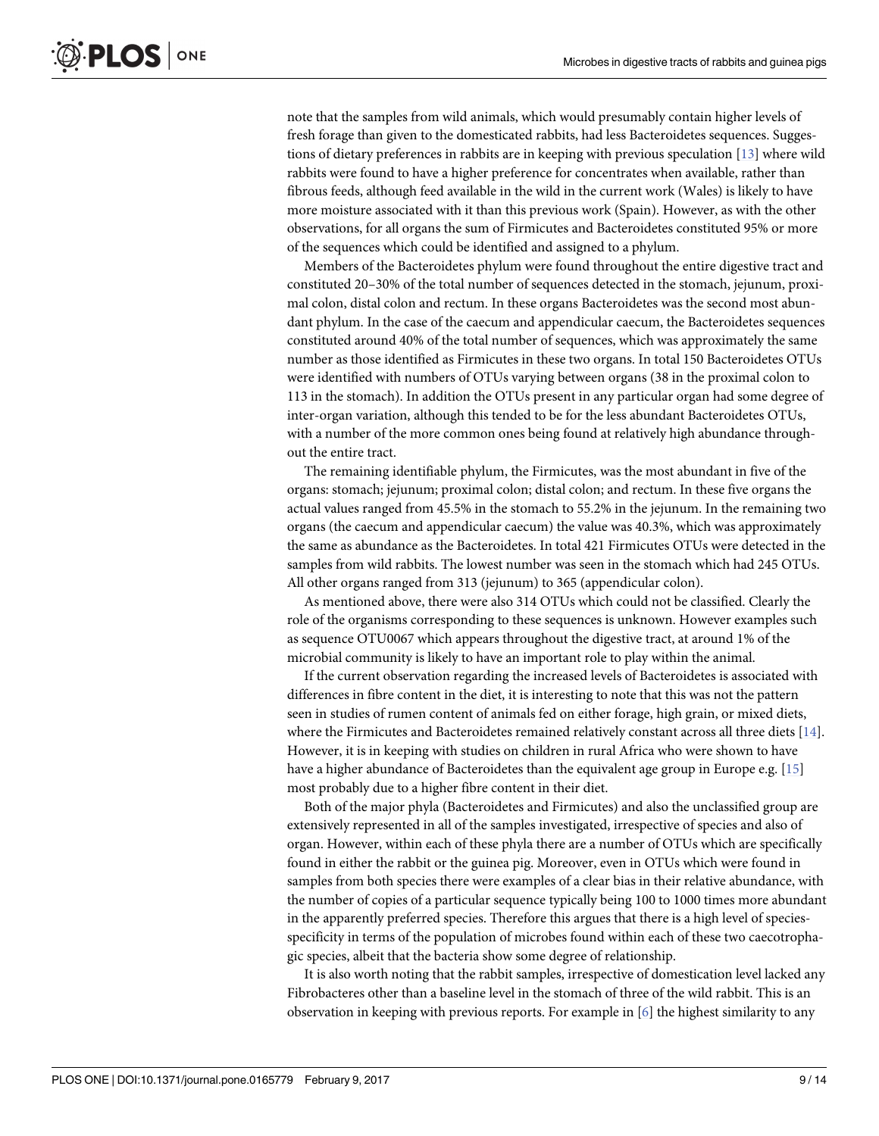<span id="page-8-0"></span>note that the samples from wild animals, which would presumably contain higher levels of fresh forage than given to the domesticated rabbits, had less Bacteroidetes sequences. Suggestions of dietary preferences in rabbits are in keeping with previous speculation [\[13\]](#page-12-0) where wild rabbits were found to have a higher preference for concentrates when available, rather than fibrous feeds, although feed available in the wild in the current work (Wales) is likely to have more moisture associated with it than this previous work (Spain). However, as with the other observations, for all organs the sum of Firmicutes and Bacteroidetes constituted 95% or more of the sequences which could be identified and assigned to a phylum.

Members of the Bacteroidetes phylum were found throughout the entire digestive tract and constituted 20–30% of the total number of sequences detected in the stomach, jejunum, proximal colon, distal colon and rectum. In these organs Bacteroidetes was the second most abundant phylum. In the case of the caecum and appendicular caecum, the Bacteroidetes sequences constituted around 40% of the total number of sequences, which was approximately the same number as those identified as Firmicutes in these two organs. In total 150 Bacteroidetes OTUs were identified with numbers of OTUs varying between organs (38 in the proximal colon to 113 in the stomach). In addition the OTUs present in any particular organ had some degree of inter-organ variation, although this tended to be for the less abundant Bacteroidetes OTUs, with a number of the more common ones being found at relatively high abundance throughout the entire tract.

The remaining identifiable phylum, the Firmicutes, was the most abundant in five of the organs: stomach; jejunum; proximal colon; distal colon; and rectum. In these five organs the actual values ranged from 45.5% in the stomach to 55.2% in the jejunum. In the remaining two organs (the caecum and appendicular caecum) the value was 40.3%, which was approximately the same as abundance as the Bacteroidetes. In total 421 Firmicutes OTUs were detected in the samples from wild rabbits. The lowest number was seen in the stomach which had 245 OTUs. All other organs ranged from 313 (jejunum) to 365 (appendicular colon).

As mentioned above, there were also 314 OTUs which could not be classified. Clearly the role of the organisms corresponding to these sequences is unknown. However examples such as sequence OTU0067 which appears throughout the digestive tract, at around 1% of the microbial community is likely to have an important role to play within the animal.

If the current observation regarding the increased levels of Bacteroidetes is associated with differences in fibre content in the diet, it is interesting to note that this was not the pattern seen in studies of rumen content of animals fed on either forage, high grain, or mixed diets, where the Firmicutes and Bacteroidetes remained relatively constant across all three diets [[14](#page-12-0)]. However, it is in keeping with studies on children in rural Africa who were shown to have have a higher abundance of Bacteroidetes than the equivalent age group in Europe e.g. [[15](#page-12-0)] most probably due to a higher fibre content in their diet.

Both of the major phyla (Bacteroidetes and Firmicutes) and also the unclassified group are extensively represented in all of the samples investigated, irrespective of species and also of organ. However, within each of these phyla there are a number of OTUs which are specifically found in either the rabbit or the guinea pig. Moreover, even in OTUs which were found in samples from both species there were examples of a clear bias in their relative abundance, with the number of copies of a particular sequence typically being 100 to 1000 times more abundant in the apparently preferred species. Therefore this argues that there is a high level of speciesspecificity in terms of the population of microbes found within each of these two caecotrophagic species, albeit that the bacteria show some degree of relationship.

It is also worth noting that the rabbit samples, irrespective of domestication level lacked any Fibrobacteres other than a baseline level in the stomach of three of the wild rabbit. This is an observation in keeping with previous reports. For example in [\[6](#page-12-0)] the highest similarity to any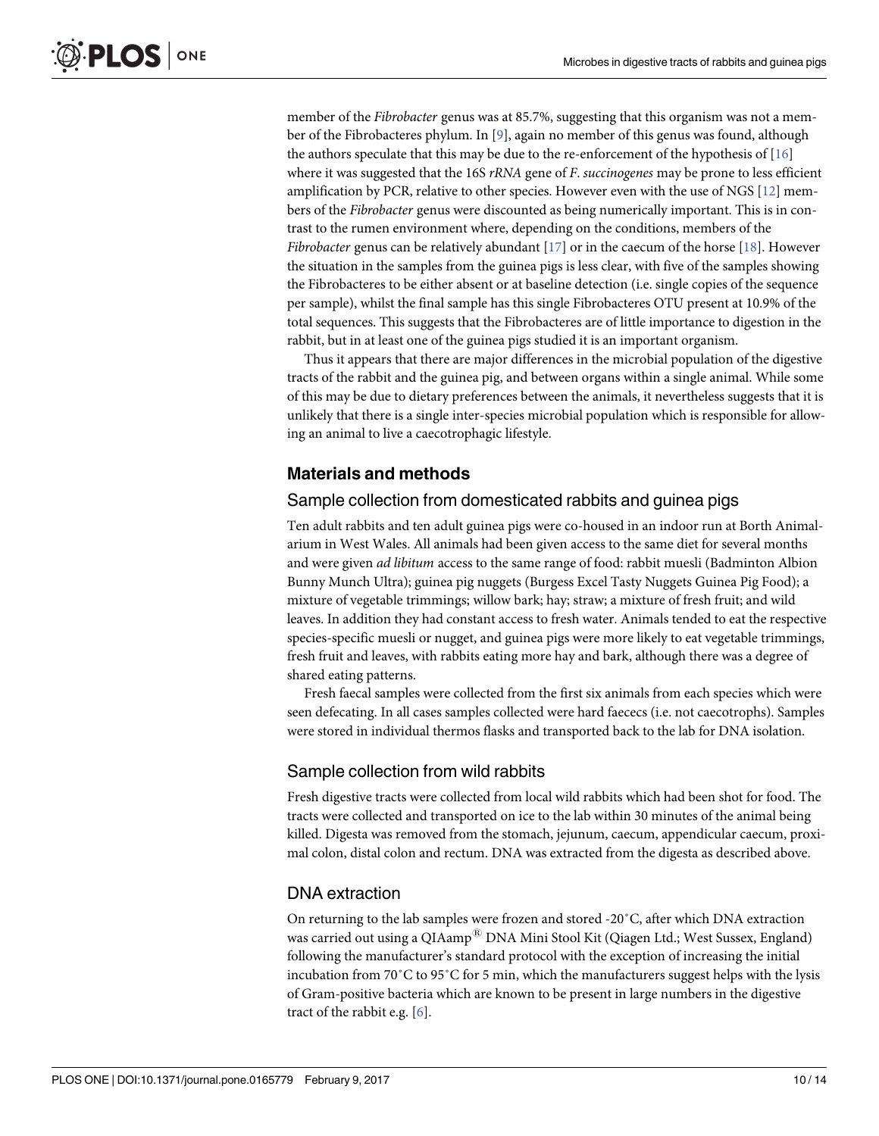<span id="page-9-0"></span>member of the *Fibrobacter* genus was at 85.7%, suggesting that this organism was not a member of the Fibrobacteres phylum. In [\[9\]](#page-12-0), again no member of this genus was found, although the authors speculate that this may be due to the re-enforcement of the hypothesis of [[16](#page-12-0)] where it was suggested that the 16S *rRNA* gene of *F*. *succinogenes* may be prone to less efficient amplification by PCR, relative to other species. However even with the use of NGS [\[12](#page-12-0)] members of the *Fibrobacter* genus were discounted as being numerically important. This is in contrast to the rumen environment where, depending on the conditions, members of the *Fibrobacter* genus can be relatively abundant [\[17](#page-12-0)] or in the caecum of the horse [[18](#page-12-0)]. However the situation in the samples from the guinea pigs is less clear, with five of the samples showing the Fibrobacteres to be either absent or at baseline detection (i.e. single copies of the sequence per sample), whilst the final sample has this single Fibrobacteres OTU present at 10.9% of the total sequences. This suggests that the Fibrobacteres are of little importance to digestion in the rabbit, but in at least one of the guinea pigs studied it is an important organism.

Thus it appears that there are major differences in the microbial population of the digestive tracts of the rabbit and the guinea pig, and between organs within a single animal. While some of this may be due to dietary preferences between the animals, it nevertheless suggests that it is unlikely that there is a single inter-species microbial population which is responsible for allowing an animal to live a caecotrophagic lifestyle.

## **Materials and methods**

#### Sample collection from domesticated rabbits and guinea pigs

Ten adult rabbits and ten adult guinea pigs were co-housed in an indoor run at Borth Animalarium in West Wales. All animals had been given access to the same diet for several months and were given *ad libitum* access to the same range of food: rabbit muesli (Badminton Albion Bunny Munch Ultra); guinea pig nuggets (Burgess Excel Tasty Nuggets Guinea Pig Food); a mixture of vegetable trimmings; willow bark; hay; straw; a mixture of fresh fruit; and wild leaves. In addition they had constant access to fresh water. Animals tended to eat the respective species-specific muesli or nugget, and guinea pigs were more likely to eat vegetable trimmings, fresh fruit and leaves, with rabbits eating more hay and bark, although there was a degree of shared eating patterns.

Fresh faecal samples were collected from the first six animals from each species which were seen defecating. In all cases samples collected were hard faececs (i.e. not caecotrophs). Samples were stored in individual thermos flasks and transported back to the lab for DNA isolation.

#### Sample collection from wild rabbits

Fresh digestive tracts were collected from local wild rabbits which had been shot for food. The tracts were collected and transported on ice to the lab within 30 minutes of the animal being killed. Digesta was removed from the stomach, jejunum, caecum, appendicular caecum, proximal colon, distal colon and rectum. DNA was extracted from the digesta as described above.

#### DNA extraction

On returning to the lab samples were frozen and stored -20˚C, after which DNA extraction was carried out using a QIAamp<sup>®</sup> DNA Mini Stool Kit (Qiagen Ltd.; West Sussex, England) following the manufacturer's standard protocol with the exception of increasing the initial incubation from 70˚C to 95˚C for 5 min, which the manufacturers suggest helps with the lysis of Gram-positive bacteria which are known to be present in large numbers in the digestive tract of the rabbit e.g. [\[6](#page-12-0)].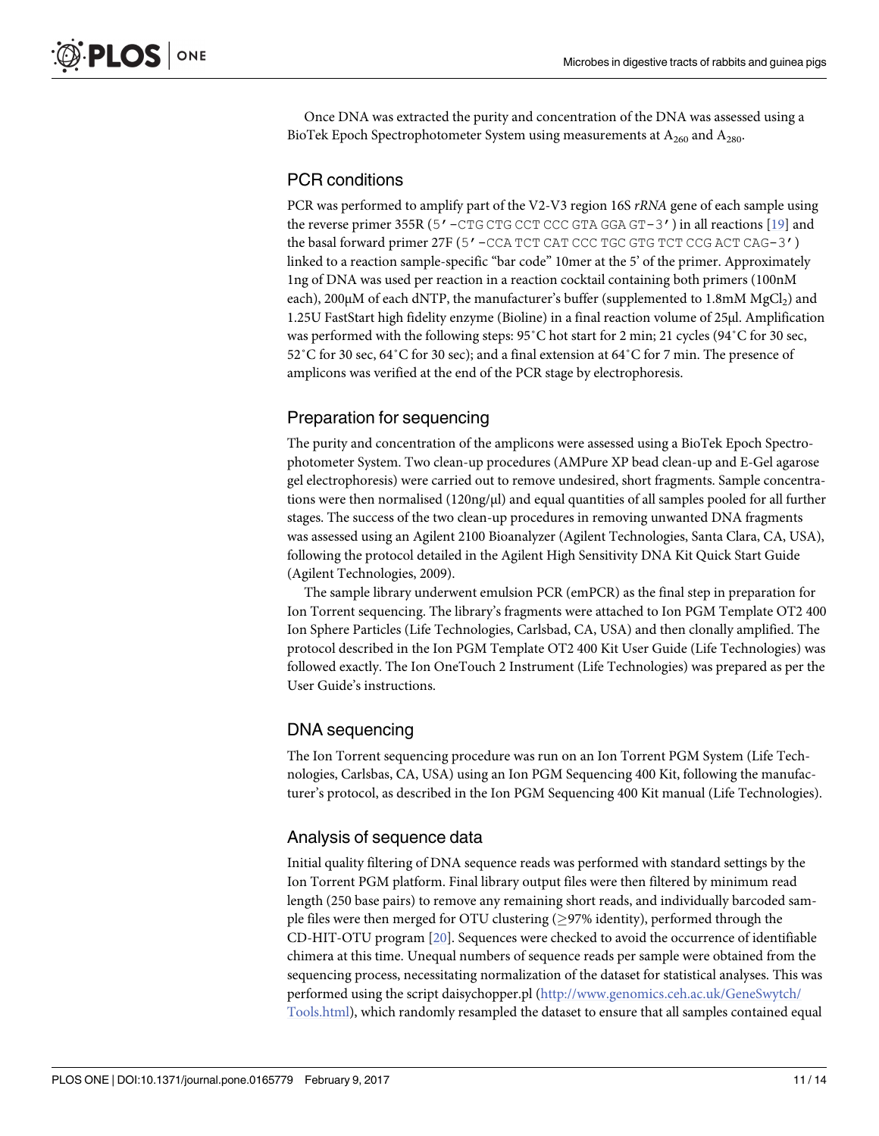<span id="page-10-0"></span>Once DNA was extracted the purity and concentration of the DNA was assessed using a BioTek Epoch Spectrophotometer System using measurements at  $A_{260}$  and  $A_{280}$ .

# PCR conditions

PCR was performed to amplify part of the V2-V3 region 16S *rRNA* gene of each sample using the reverse primer 355R (5' –  $CTG$  CTG CCT CCC GTA GGA GT–3') in all reactions [\[19\]](#page-12-0) and the basal forward primer 27F (5'-CCA TCT CAT CCC TGC GTG TCT CCG ACT CAG-3') linked to a reaction sample-specific "bar code" 10mer at the 5' of the primer. Approximately 1ng of DNA was used per reaction in a reaction cocktail containing both primers (100nM each),  $200\mu$ M of each dNTP, the manufacturer's buffer (supplemented to  $1.8\text{mM MgCl}_2$ ) and 1.25U FastStart high fidelity enzyme (Bioline) in a final reaction volume of 25μl. Amplification was performed with the following steps: 95˚C hot start for 2 min; 21 cycles (94˚C for 30 sec, 52˚C for 30 sec, 64˚C for 30 sec); and a final extension at 64˚C for 7 min. The presence of amplicons was verified at the end of the PCR stage by electrophoresis.

# Preparation for sequencing

The purity and concentration of the amplicons were assessed using a BioTek Epoch Spectrophotometer System. Two clean-up procedures (AMPure XP bead clean-up and E-Gel agarose gel electrophoresis) were carried out to remove undesired, short fragments. Sample concentrations were then normalised (120ng/μl) and equal quantities of all samples pooled for all further stages. The success of the two clean-up procedures in removing unwanted DNA fragments was assessed using an Agilent 2100 Bioanalyzer (Agilent Technologies, Santa Clara, CA, USA), following the protocol detailed in the Agilent High Sensitivity DNA Kit Quick Start Guide (Agilent Technologies, 2009).

The sample library underwent emulsion PCR (emPCR) as the final step in preparation for Ion Torrent sequencing. The library's fragments were attached to Ion PGM Template OT2 400 Ion Sphere Particles (Life Technologies, Carlsbad, CA, USA) and then clonally amplified. The protocol described in the Ion PGM Template OT2 400 Kit User Guide (Life Technologies) was followed exactly. The Ion OneTouch 2 Instrument (Life Technologies) was prepared as per the User Guide's instructions.

# DNA sequencing

The Ion Torrent sequencing procedure was run on an Ion Torrent PGM System (Life Technologies, Carlsbas, CA, USA) using an Ion PGM Sequencing 400 Kit, following the manufacturer's protocol, as described in the Ion PGM Sequencing 400 Kit manual (Life Technologies).

# Analysis of sequence data

Initial quality filtering of DNA sequence reads was performed with standard settings by the Ion Torrent PGM platform. Final library output files were then filtered by minimum read length (250 base pairs) to remove any remaining short reads, and individually barcoded sample files were then merged for OTU clustering  $(>97\%$  identity), performed through the CD-HIT-OTU program [[20](#page-13-0)]. Sequences were checked to avoid the occurrence of identifiable chimera at this time. Unequal numbers of sequence reads per sample were obtained from the sequencing process, necessitating normalization of the dataset for statistical analyses. This was performed using the script daisychopper.pl ([http://www.genomics.ceh.ac.uk/GeneSwytch/](http://www.genomics.ceh.ac.uk/GeneSwytch/Tools.html) [Tools.html](http://www.genomics.ceh.ac.uk/GeneSwytch/Tools.html)), which randomly resampled the dataset to ensure that all samples contained equal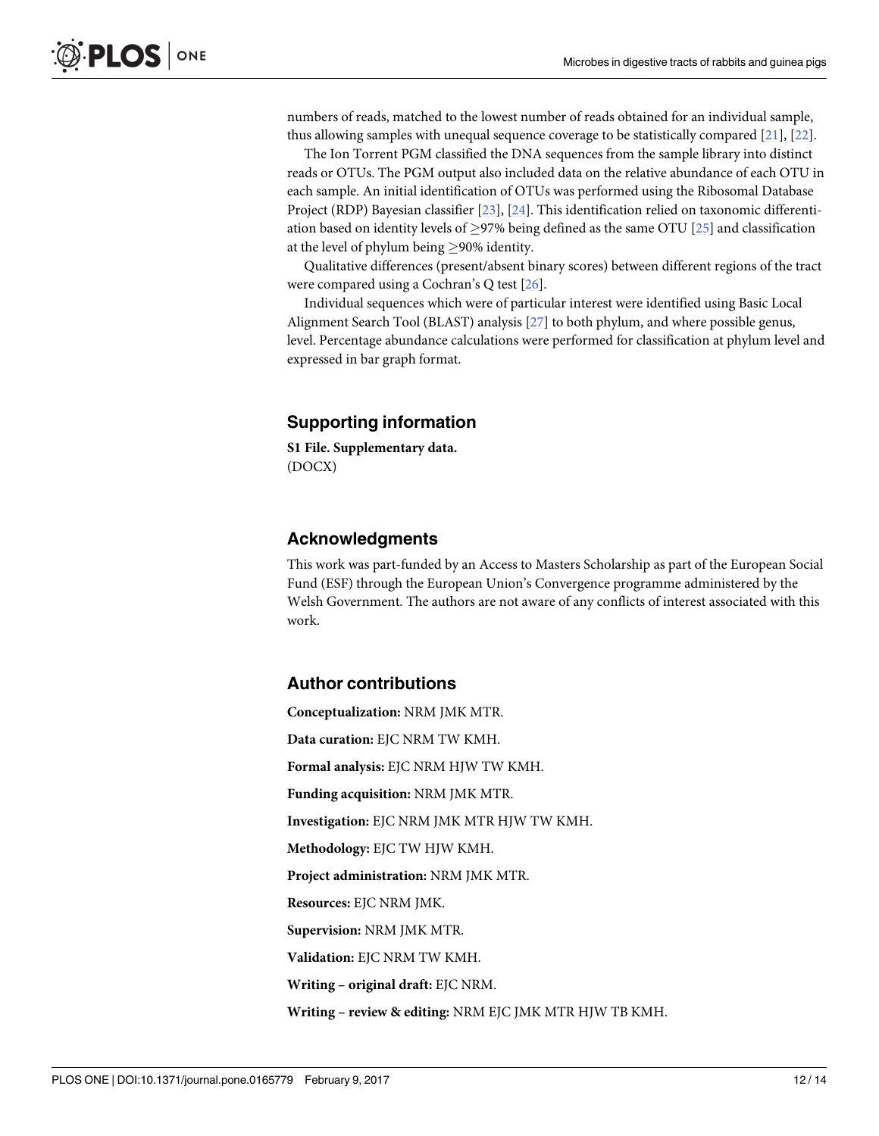<span id="page-11-0"></span>numbers of reads, matched to the lowest number of reads obtained for an individual sample, thus allowing samples with unequal sequence coverage to be statistically compared [\[21\]](#page-13-0), [[22](#page-13-0)].

The Ion Torrent PGM classified the DNA sequences from the sample library into distinct reads or OTUs. The PGM output also included data on the relative abundance of each OTU in each sample. An initial identification of OTUs was performed using the Ribosomal Database Project (RDP) Bayesian classifier [\[23\]](#page-13-0), [[24](#page-13-0)]. This identification relied on taxonomic differentiation based on identity levels of  $\geq$ 97% being defined as the same OTU [[25](#page-13-0)] and classification at the level of phylum being  $\geq$ 90% identity.

Qualitative differences (present/absent binary scores) between different regions of the tract were compared using a Cochran's Q test [[26](#page-13-0)].

Individual sequences which were of particular interest were identified using Basic Local Alignment Search Tool (BLAST) analysis [\[27\]](#page-13-0) to both phylum, and where possible genus, level. Percentage abundance calculations were performed for classification at phylum level and expressed in bar graph format.

## **Supporting information**

**S1 [File.](http://www.plosone.org/article/fetchSingleRepresentation.action?uri=info:doi/10.1371/journal.pone.0165779.s001) Supplementary data.** (DOCX)

# **Acknowledgments**

This work was part-funded by an Access to Masters Scholarship as part of the European Social Fund (ESF) through the European Union's Convergence programme administered by the Welsh Government. The authors are not aware of any conflicts of interest associated with this work.

#### **Author contributions**

**Conceptualization:** NRM JMK MTR. **Data curation:** EJC NRM TW KMH. **Formal analysis:** EJC NRM HJW TW KMH. **Funding acquisition:** NRM JMK MTR. **Investigation:** EJC NRM JMK MTR HJW TW KMH. **Methodology:** EJC TW HJW KMH. **Project administration:** NRM JMK MTR. **Resources:** EJC NRM JMK. **Supervision:** NRM JMK MTR. **Validation:** EJC NRM TW KMH. **Writing – original draft:** EJC NRM. **Writing – review & editing:** NRM EJC JMK MTR HJW TB KMH.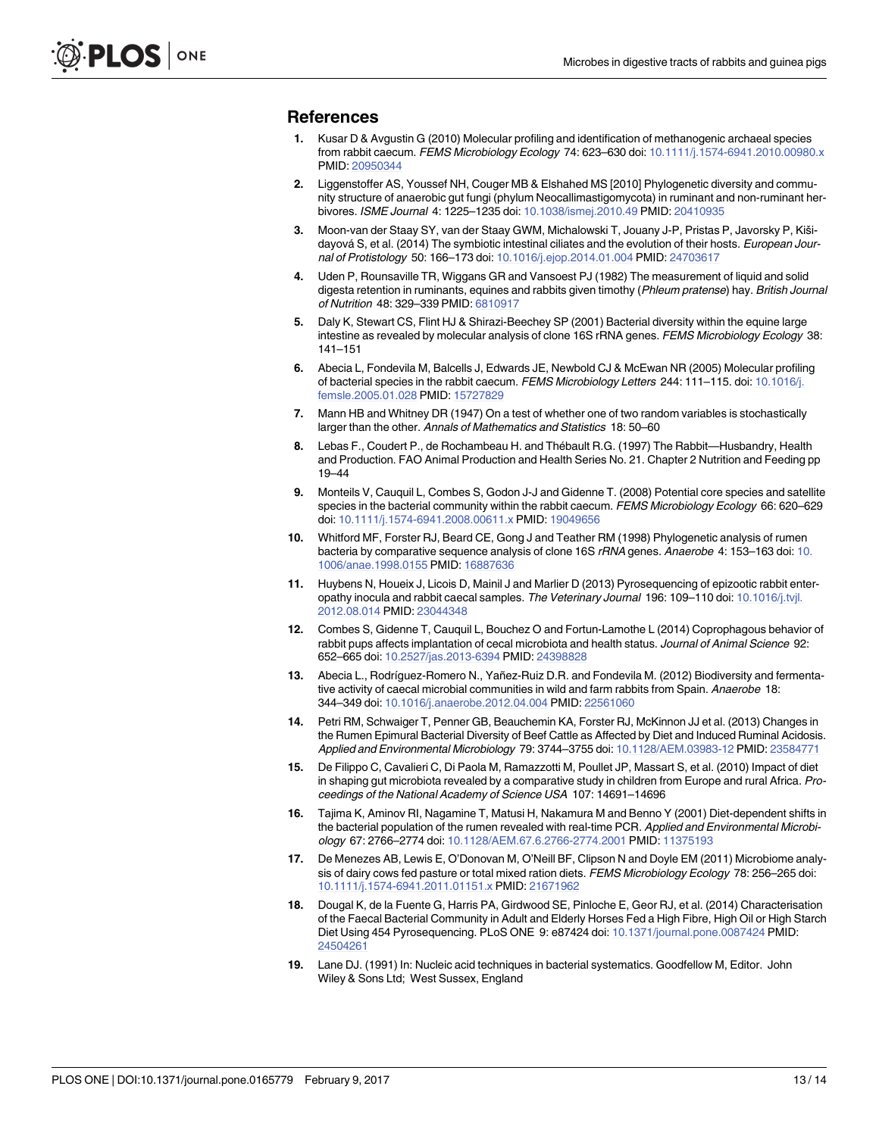#### <span id="page-12-0"></span>**References**

- **[1](#page-1-0).** Kusar D & Avgustin G (2010) Molecular profiling and identification of methanogenic archaeal species from rabbit caecum. FEMS Microbiology Ecology 74: 623–630 doi: [10.1111/j.1574-6941.2010.00980.x](http://dx.doi.org/10.1111/j.1574-6941.2010.00980.x) PMID: [20950344](http://www.ncbi.nlm.nih.gov/pubmed/20950344)
- **[2](#page-1-0).** Liggenstoffer AS, Youssef NH, Couger MB & Elshahed MS [2010] Phylogenetic diversity and community structure of anaerobic gut fungi (phylum Neocallimastigomycota) in ruminant and non-ruminant herbivores. ISME Journal 4: 1225–1235 doi: [10.1038/ismej.2010.49](http://dx.doi.org/10.1038/ismej.2010.49) PMID: [20410935](http://www.ncbi.nlm.nih.gov/pubmed/20410935)
- **[3](#page-1-0).** Moon-van der Staay SY, van der Staay GWM, Michalowski T, Jouany J-P, Pristas P, Javorsky P, Kišidayová S, et al. (2014) The symbiotic intestinal ciliates and the evolution of their hosts. European Journal of Protistology 50: 166–173 doi: [10.1016/j.ejop.2014.01.004](http://dx.doi.org/10.1016/j.ejop.2014.01.004) PMID: [24703617](http://www.ncbi.nlm.nih.gov/pubmed/24703617)
- **[4](#page-1-0).** Uden P, Rounsaville TR, Wiggans GR and Vansoest PJ (1982) The measurement of liquid and solid digesta retention in ruminants, equines and rabbits given timothy (Phleum pratense) hay. British Journal of Nutrition 48: 329–339 PMID: [6810917](http://www.ncbi.nlm.nih.gov/pubmed/6810917)
- **[5](#page-1-0).** Daly K, Stewart CS, Flint HJ & Shirazi-Beechey SP (2001) Bacterial diversity within the equine large intestine as revealed by molecular analysis of clone 16S rRNA genes. FEMS Microbiology Ecology 38: 141–151
- **[6](#page-1-0).** Abecia L, Fondevila M, Balcells J, Edwards JE, Newbold CJ & McEwan NR (2005) Molecular profiling of bacterial species in the rabbit caecum. FEMS Microbiology Letters 244: 111-115. doi: [10.1016/j.](http://dx.doi.org/10.1016/j.femsle.2005.01.028) [femsle.2005.01.028](http://dx.doi.org/10.1016/j.femsle.2005.01.028) PMID: [15727829](http://www.ncbi.nlm.nih.gov/pubmed/15727829)
- **[7](#page-3-0).** Mann HB and Whitney DR (1947) On a test of whether one of two random variables is stochastically larger than the other. Annals of Mathematics and Statistics 18: 50–60
- **[8](#page-5-0).** Lebas F., Coudert P., de Rochambeau H. and The´bault R.G. (1997) The Rabbit—Husbandry, Health and Production. FAO Animal Production and Health Series No. 21. Chapter 2 Nutrition and Feeding pp 19–44
- **[9](#page-7-0).** Monteils V, Cauquil L, Combes S, Godon J-J and Gidenne T. (2008) Potential core species and satellite species in the bacterial community within the rabbit caecum. FEMS Microbiology Ecology 66: 620-629 doi: [10.1111/j.1574-6941.2008.00611.x](http://dx.doi.org/10.1111/j.1574-6941.2008.00611.x) PMID: [19049656](http://www.ncbi.nlm.nih.gov/pubmed/19049656)
- **[10](#page-7-0).** Whitford MF, Forster RJ, Beard CE, Gong J and Teather RM (1998) Phylogenetic analysis of rumen bacteria by comparative sequence analysis of clone 16S rRNA genes. Anaerobe 4: 153–163 doi: [10.](http://dx.doi.org/10.1006/anae.1998.0155) [1006/anae.1998.0155](http://dx.doi.org/10.1006/anae.1998.0155) PMID: [16887636](http://www.ncbi.nlm.nih.gov/pubmed/16887636)
- **[11](#page-7-0).** Huybens N, Houeix J, Licois D, Mainil J and Marlier D (2013) Pyrosequencing of epizootic rabbit enter-opathy inocula and rabbit caecal samples. The Veterinary Journal 196: 109-110 doi: [10.1016/j.tvjl.](http://dx.doi.org/10.1016/j.tvjl.2012.08.014) [2012.08.014](http://dx.doi.org/10.1016/j.tvjl.2012.08.014) PMID: [23044348](http://www.ncbi.nlm.nih.gov/pubmed/23044348)
- **[12](#page-7-0).** Combes S, Gidenne T, Cauquil L, Bouchez O and Fortun-Lamothe L (2014) Coprophagous behavior of rabbit pups affects implantation of cecal microbiota and health status. Journal of Animal Science 92: 652–665 doi: [10.2527/jas.2013-6394](http://dx.doi.org/10.2527/jas.2013-6394) PMID: [24398828](http://www.ncbi.nlm.nih.gov/pubmed/24398828)
- **[13](#page-8-0).** Abecia L., Rodríguez-Romero N., Yañez-Ruiz D.R. and Fondevila M. (2012) Biodiversity and fermentative activity of caecal microbial communities in wild and farm rabbits from Spain. Anaerobe 18: 344–349 doi: [10.1016/j.anaerobe.2012.04.004](http://dx.doi.org/10.1016/j.anaerobe.2012.04.004) PMID: [22561060](http://www.ncbi.nlm.nih.gov/pubmed/22561060)
- **[14](#page-8-0).** Petri RM, Schwaiger T, Penner GB, Beauchemin KA, Forster RJ, McKinnon JJ et al. (2013) Changes in the Rumen Epimural Bacterial Diversity of Beef Cattle as Affected by Diet and Induced Ruminal Acidosis. Applied and Environmental Microbiology 79: 3744–3755 doi: [10.1128/AEM.03983-12](http://dx.doi.org/10.1128/AEM.03983-12) PMID: [23584771](http://www.ncbi.nlm.nih.gov/pubmed/23584771)
- **[15](#page-8-0).** De Filippo C, Cavalieri C, Di Paola M, Ramazzotti M, Poullet JP, Massart S, et al. (2010) Impact of diet in shaping gut microbiota revealed by a comparative study in children from Europe and rural Africa. Proceedings of the National Academy of Science USA 107: 14691–14696
- **[16](#page-9-0).** Tajima K, Aminov RI, Nagamine T, Matusi H, Nakamura M and Benno Y (2001) Diet-dependent shifts in the bacterial population of the rumen revealed with real-time PCR. Applied and Environmental Microbiology 67: 2766–2774 doi: [10.1128/AEM.67.6.2766-2774.2001](http://dx.doi.org/10.1128/AEM.67.6.2766-2774.2001) PMID: [11375193](http://www.ncbi.nlm.nih.gov/pubmed/11375193)
- **[17](#page-9-0).** De Menezes AB, Lewis E, O'Donovan M, O'Neill BF, Clipson N and Doyle EM (2011) Microbiome analysis of dairy cows fed pasture or total mixed ration diets. FEMS Microbiology Ecology 78: 256–265 doi: [10.1111/j.1574-6941.2011.01151.x](http://dx.doi.org/10.1111/j.1574-6941.2011.01151.x) PMID: [21671962](http://www.ncbi.nlm.nih.gov/pubmed/21671962)
- **[18](#page-9-0).** Dougal K, de la Fuente G, Harris PA, Girdwood SE, Pinloche E, Geor RJ, et al. (2014) Characterisation of the Faecal Bacterial Community in Adult and Elderly Horses Fed a High Fibre, High Oil or High Starch Diet Using 454 Pyrosequencing. PLoS ONE 9: e87424 doi: [10.1371/journal.pone.0087424](http://dx.doi.org/10.1371/journal.pone.0087424) PMID: [24504261](http://www.ncbi.nlm.nih.gov/pubmed/24504261)
- **[19](#page-10-0).** Lane DJ. (1991) In: Nucleic acid techniques in bacterial systematics. Goodfellow M, Editor. John Wiley & Sons Ltd; West Sussex, England